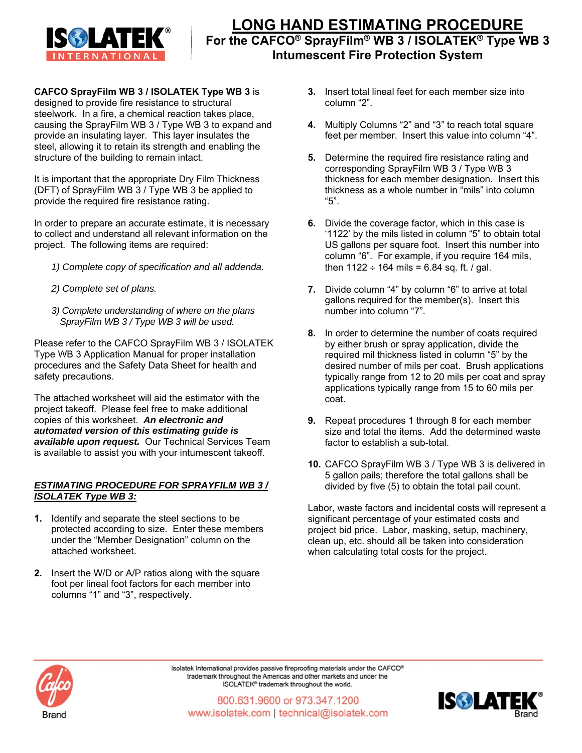

**CAFCO SprayFilm WB 3 / ISOLATEK Type WB 3** is designed to provide fire resistance to structural

steelwork. In a fire, a chemical reaction takes place, causing the SprayFilm WB 3 / Type WB 3 to expand and provide an insulating layer. This layer insulates the steel, allowing it to retain its strength and enabling the structure of the building to remain intact.

It is important that the appropriate Dry Film Thickness (DFT) of SprayFilm WB 3 / Type WB 3 be applied to provide the required fire resistance rating.

In order to prepare an accurate estimate, it is necessary to collect and understand all relevant information on the project. The following items are required:

- *1) Complete copy of specification and all addenda.*
- *2) Complete set of plans.*
- *3) Complete understanding of where on the plans SprayFilm WB 3 / Type WB 3 will be used.*

Please refer to the CAFCO SprayFilm WB 3 / ISOLATEK Type WB 3 Application Manual for proper installation procedures and the Safety Data Sheet for health and safety precautions.

The attached worksheet will aid the estimator with the project takeoff. Please feel free to make additional copies of this worksheet. *An electronic and automated version of this estimating guide is available upon request.* Our Technical Services Team is available to assist you with your intumescent takeoff.

## *ESTIMATING PROCEDURE FOR SPRAYFILM WB 3 / ISOLATEK Type WB 3:*

- **1.** Identify and separate the steel sections to be protected according to size. Enter these members under the "Member Designation" column on the attached worksheet.
- **2.** Insert the W/D or A/P ratios along with the square foot per lineal foot factors for each member into columns "1" and "3", respectively.
- **3.** Insert total lineal feet for each member size into column "2".
- **4.** Multiply Columns "2" and "3" to reach total square feet per member. Insert this value into column "4".
- **5.** Determine the required fire resistance rating and corresponding SprayFilm WB 3 / Type WB 3 thickness for each member designation. Insert this thickness as a whole number in "mils" into column "5".
- **6.** Divide the coverage factor, which in this case is '1122' by the mils listed in column "5" to obtain total US gallons per square foot. Insert this number into column "6". For example, if you require 164 mils, then  $1122 \div 164$  mils = 6.84 sq. ft. / gal.
- **7.** Divide column "4" by column "6" to arrive at total gallons required for the member(s). Insert this number into column "7".
- **8.** In order to determine the number of coats required by either brush or spray application, divide the required mil thickness listed in column "5" by the desired number of mils per coat. Brush applications typically range from 12 to 20 mils per coat and spray applications typically range from 15 to 60 mils per coat.
- **9.** Repeat procedures 1 through 8 for each member size and total the items. Add the determined waste factor to establish a sub-total.
- **10.** CAFCO SprayFilm WB 3 / Type WB 3 is delivered in 5 gallon pails; therefore the total gallons shall be divided by five (5) to obtain the total pail count.

Labor, waste factors and incidental costs will represent a significant percentage of your estimated costs and project bid price. Labor, masking, setup, machinery, clean up, etc. should all be taken into consideration when calculating total costs for the project.



Isolatek International provides passive fireproofing materials under the CAFCO® trademark throughout the Americas and other markets and under the ISOLATEK® trademark throughout the world.

800.631.9600 or 973.347.1200 www.isolatek.com | technical@isolatek.com